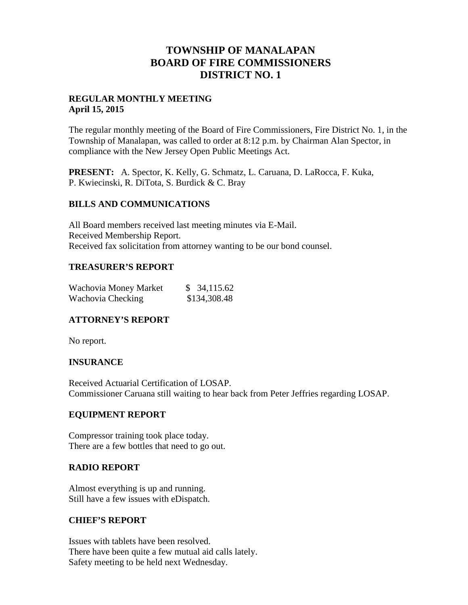## **TOWNSHIP OF MANALAPAN BOARD OF FIRE COMMISSIONERS DISTRICT NO. 1**

#### **REGULAR MONTHLY MEETING April 15, 2015**

The regular monthly meeting of the Board of Fire Commissioners, Fire District No. 1, in the Township of Manalapan, was called to order at 8:12 p.m. by Chairman Alan Spector, in compliance with the New Jersey Open Public Meetings Act.

**PRESENT:** A. Spector, K. Kelly, G. Schmatz, L. Caruana, D. LaRocca, F. Kuka, P. Kwiecinski, R. DiTota, S. Burdick & C. Bray

#### **BILLS AND COMMUNICATIONS**

All Board members received last meeting minutes via E-Mail. Received Membership Report. Received fax solicitation from attorney wanting to be our bond counsel.

#### **TREASURER'S REPORT**

| Wachovia Money Market | \$34,115.62  |
|-----------------------|--------------|
| Wachovia Checking     | \$134,308.48 |

#### **ATTORNEY'S REPORT**

No report.

#### **INSURANCE**

Received Actuarial Certification of LOSAP. Commissioner Caruana still waiting to hear back from Peter Jeffries regarding LOSAP.

#### **EQUIPMENT REPORT**

Compressor training took place today. There are a few bottles that need to go out.

#### **RADIO REPORT**

Almost everything is up and running. Still have a few issues with eDispatch.

#### **CHIEF'S REPORT**

Issues with tablets have been resolved. There have been quite a few mutual aid calls lately. Safety meeting to be held next Wednesday.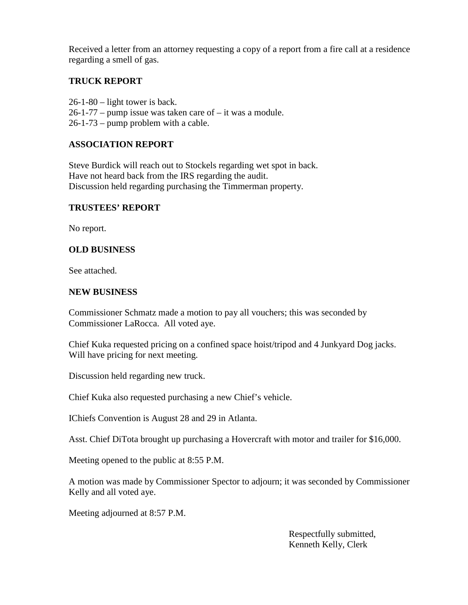Received a letter from an attorney requesting a copy of a report from a fire call at a residence regarding a smell of gas.

### **TRUCK REPORT**

26-1-80 – light tower is back.  $26-1-77$  – pump issue was taken care of – it was a module. 26-1-73 – pump problem with a cable.

#### **ASSOCIATION REPORT**

Steve Burdick will reach out to Stockels regarding wet spot in back. Have not heard back from the IRS regarding the audit. Discussion held regarding purchasing the Timmerman property.

#### **TRUSTEES' REPORT**

No report.

### **OLD BUSINESS**

See attached.

#### **NEW BUSINESS**

Commissioner Schmatz made a motion to pay all vouchers; this was seconded by Commissioner LaRocca. All voted aye.

Chief Kuka requested pricing on a confined space hoist/tripod and 4 Junkyard Dog jacks. Will have pricing for next meeting.

Discussion held regarding new truck.

Chief Kuka also requested purchasing a new Chief's vehicle.

IChiefs Convention is August 28 and 29 in Atlanta.

Asst. Chief DiTota brought up purchasing a Hovercraft with motor and trailer for \$16,000.

Meeting opened to the public at 8:55 P.M.

A motion was made by Commissioner Spector to adjourn; it was seconded by Commissioner Kelly and all voted aye.

Meeting adjourned at 8:57 P.M.

Respectfully submitted, Kenneth Kelly, Clerk